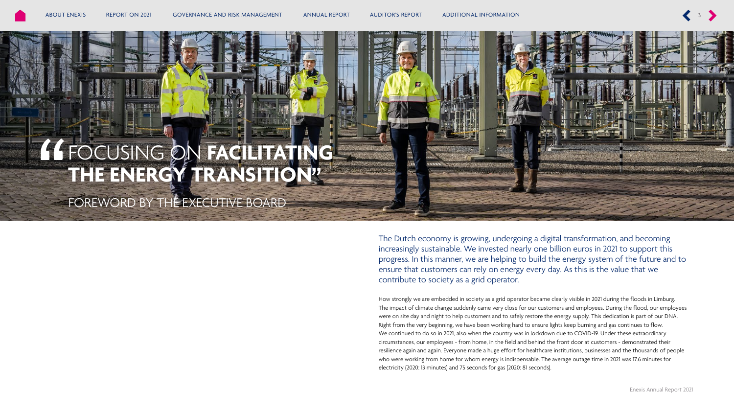

The Dutch economy is growing, undergoing a digital transformation, and becoming increasingly sustainable. We invested nearly one billion euros in 2021 to support this progress. In this manner, we are helping to build the energy system of the future and to ensure that customers can rely on energy every day. As this is the value that we contribute to society as a grid operator.

How strongly we are embedded in society as a grid operator became clearly visible in 2021 during the floods in Limburg. The impact of climate change suddenly came very close for our customers and employees. During the flood, our employees were on site day and night to help customers and to safely restore the energy supply. This dedication is part of our DNA. Right from the very beginning, we have been working hard to ensure lights keep burning and gas continues to flow. We continued to do so in 2021, also when the country was in lockdown due to COVID-19. Under these extraordinary circumstances, our employees - from home, in the field and behind the front door at customers - demonstrated their resilience again and again. Everyone made a huge effort for healthcare institutions, businesses and the thousands of people who were working from home for whom energy is indispensable. The average outage time in 2021 was 17.6 minutes for electricity (2020: 13 minutes) and 75 seconds for gas (2020: 81 seconds).

Enexis Annual Report 2021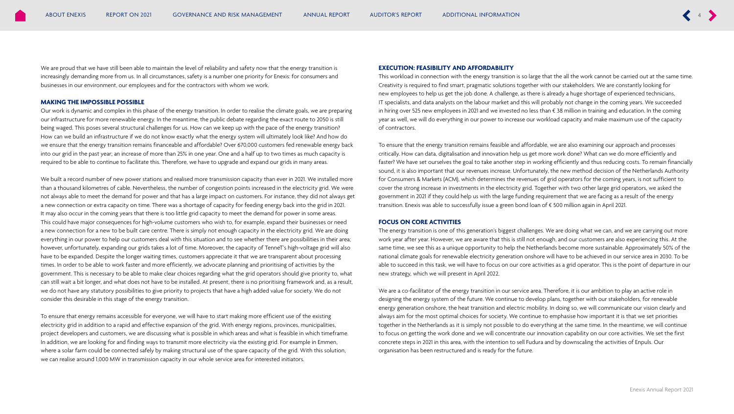We are proud that we have still been able to maintain the level of reliability and safety now that the energy transition is increasingly demanding more from us. In all circumstances, safety is a number one priority for Enexis: for consumers and businesses in our environment, our employees and for the contractors with whom we work.

#### **MAKING THE IMPOSSIBLE POSSIBLE**

Our work is dynamic and complex in this phase of the energy transition. In order to realise the climate goals, we are preparing our infrastructure for more renewable energy. In the meantime, the public debate regarding the exact route to 2050 is still being waged. This poses several structural challenges for us. How can we keep up with the pace of the energy transition? How can we build an infrastructure if we do not know exactly what the energy system will ultimately look like? And how do we ensure that the energy transition remains financeable and affordable? Over 670,000 customers fed renewable energy back into our grid in the past year; an increase of more than 25% in one year. One and a half up to two times as much capacity is required to be able to continue to facilitate this. Therefore, we have to upgrade and expand our grids in many areas.

We built a record number of new power stations and realised more transmission capacity than ever in 2021. We installed more than a thousand kilometres of cable. Nevertheless, the number of congestion points increased in the electricity grid. We were not always able to meet the demand for power and that has a large impact on customers. For instance, they did not always get a new connection or extra capacity on time. There was a shortage of capacity for feeding energy back into the grid in 2021. It may also occur in the coming years that there is too little grid capacity to meet the demand for power in some areas. This could have major consequences for high-volume customers who wish to, for example, expand their businesses or need a new connection for a new to be built care centre. There is simply not enough capacity in the electricity grid. We are doing everything in our power to help our customers deal with this situation and to see whether there are possibilities in their area; however, unfortunately, expanding our grids takes a lot of time. Moreover, the capacity of TenneT's high-voltage grid will also have to be expanded. Despite the longer waiting times, customers appreciate it that we are transparent about processing times. In order to be able to work faster and more efficiently, we advocate planning and prioritising of activities by the government. This is necessary to be able to make clear choices regarding what the grid operators should give priority to, what can still wait a bit longer, and what does not have to be installed. At present, there is no prioritising framework and, as a result, we do not have any statutory possibilities to give priority to projects that have a high added value for society. We do not consider this desirable in this stage of the energy transition.

To ensure that energy remains accessible for everyone, we will have to start making more efficient use of the existing electricity grid in addition to a rapid and effective expansion of the grid. With energy regions, provinces, municipalities, project developers and customers, we are discussing what is possible in which areas and what is feasible in which timeframe. In addition, we are looking for and finding ways to transmit more electricity via the existing grid. For example in Emmen, where a solar farm could be connected safely by making structural use of the spare capacity of the grid. With this solution, we can realise around 1,000 MW in transmission capacity in our whole service area for interested initiators.

# **EXECUTION: FEASIBILITY AND AFFORDABILITY**

This workload in connection with the energy transition is so large that the all the work cannot be carried out at the same time. Creativity is required to find smart, pragmatic solutions together with our stakeholders. We are constantly looking for new employees to help us get the job done. A challenge, as there is already a huge shortage of experienced technicians, IT specialists, and data analysts on the labour market and this will probably not change in the coming years. We succeeded in hiring over 525 new employees in 2021 and we invested no less than € 38 million in training and education. In the coming year as well, we will do everything in our power to increase our workload capacity and make maximum use of the capacity of contractors.

To ensure that the energy transition remains feasible and affordable, we are also examining our approach and processes critically. How can data, digitalisation and innovation help us get more work done? What can we do more efficiently and faster? We have set ourselves the goal to take another step in working efficiently and thus reducing costs. To remain financially sound, it is also important that our revenues increase. Unfortunately, the new method decision of the Netherlands Authority for Consumers & Markets (ACM), which determines the revenues of grid operators for the coming years, is not sufficient to cover the strong increase in investments in the electricity grid. Together with two other large grid operators, we asked the government in 2021 if they could help us with the large funding requirement that we are facing as a result of the energy transition. Enexis was able to successfully issue a green bond loan of € 500 million again in April 2021.

### **FOCUS ON CORE ACTIVITIES**

The energy transition is one of this generation's biggest challenges. We are doing what we can, and we are carrying out more work year after year. However, we are aware that this is still not enough, and our customers are also experiencing this. At the same time, we see this as a unique opportunity to help the Netherlands become more sustainable. Approximately 50% of the national climate goals for renewable electricity generation onshore will have to be achieved in our service area in 2030. To be able to succeed in this task, we will have to focus on our core activities as a grid operator. This is the point of departure in our new strategy, which we will present in April 2022.

We are a co-facilitator of the energy transition in our service area. Therefore, it is our ambition to play an active role in designing the energy system of the future. We continue to develop plans, together with our stakeholders, for renewable energy generation onshore, the heat transition and electric mobility. In doing so, we will communicate our vision clearly and always aim for the most optimal choices for society. We continue to emphasise how important it is that we set priorities together in the Netherlands as it is simply not possible to do everything at the same time. In the meantime, we will continue to focus on getting the work done and we will concentrate our innovation capability on our core activities. We set the first concrete steps in 2021 in this area, with the intention to sell Fudura and by downscaling the activities of Enpuls. Our organisation has been restructured and is ready for the future.